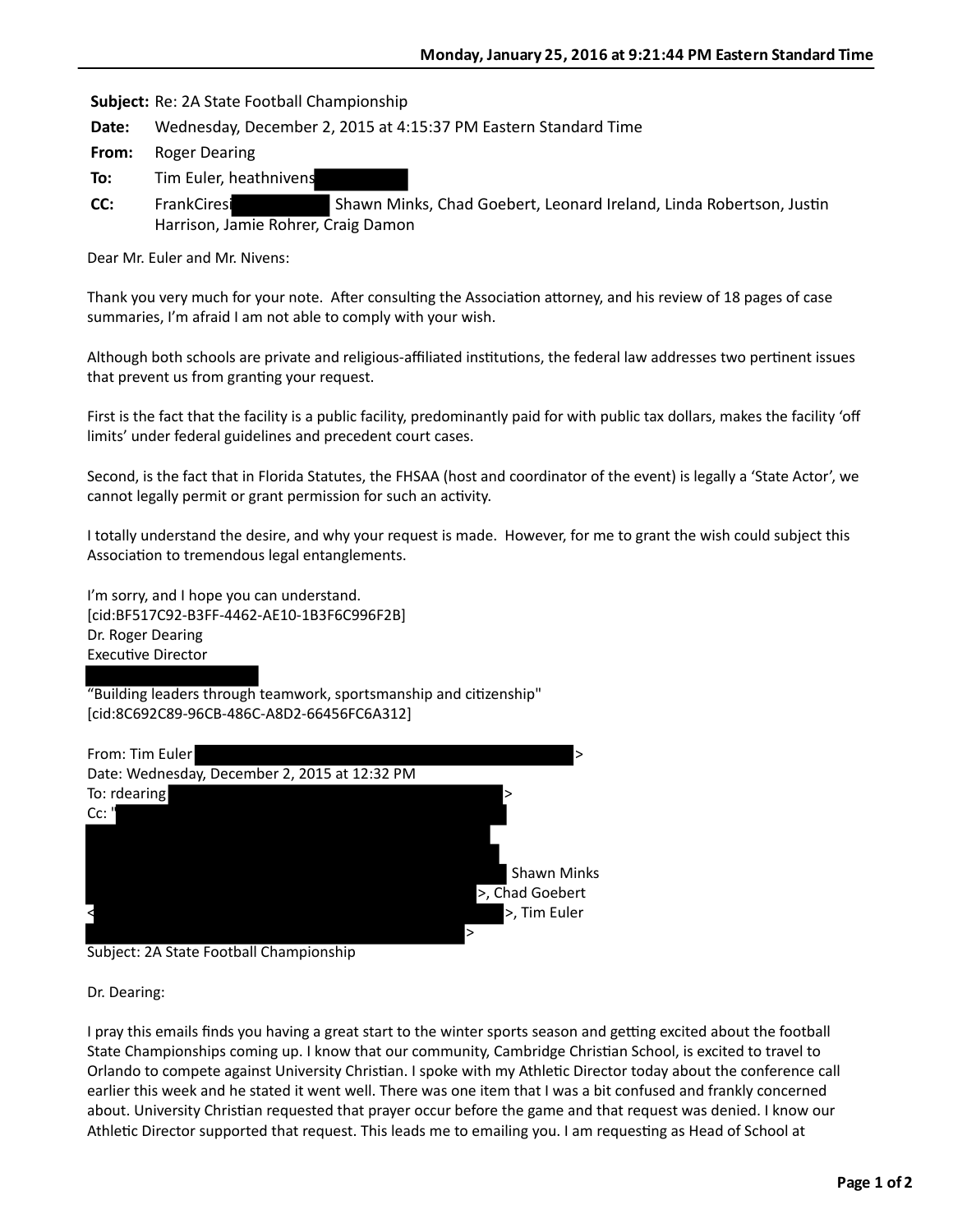**Subject:** Re: 2A State Football Championship

**Date:** Wednesday, December 2, 2015 at 4:15:37 PM Eastern Standard Time

From: Roger Dearing

- **To:** Tim Euler, heathnivens
- **CC:** FrankCiresi Shawn Minks, Chad Goebert, Leonard Ireland, Linda Robertson, Justin Harrison, Jamie Rohrer, Craig Damon

Dear Mr. Euler and Mr. Nivens:

Thank you very much for your note. After consulting the Association attorney, and his review of 18 pages of case summaries, I'm afraid I am not able to comply with your wish.

Although both schools are private and religious-affiliated institutions, the federal law addresses two pertinent issues that prevent us from granting your request.

First is the fact that the facility is a public facility, predominantly paid for with public tax dollars, makes the facility 'off limits' under federal guidelines and precedent court cases.

Second, is the fact that in Florida Statutes, the FHSAA (host and coordinator of the event) is legally a 'State Actor', we cannot legally permit or grant permission for such an activity.

I totally understand the desire, and why your request is made. However, for me to grant the wish could subject this Association to tremendous legal entanglements.

I'm sorry, and I hope you can understand. [cid:BF517C92-B3FF-4462-AE10-1B3F6C996F2B] Dr. Roger Dearing Executive Director

"Building leaders through teamwork, sportsmanship and citizenship" [cid:8C692C89-96CB-486C-A8D2-66456FC6A312]



Subject: 2A State Football Championship

Dr. Dearing:

I pray this emails finds you having a great start to the winter sports season and getting excited about the football State Championships coming up. I know that our community, Cambridge Christian School, is excited to travel to Orlando to compete against University Christian. I spoke with my Athletic Director today about the conference call earlier this week and he stated it went well. There was one item that I was a bit confused and frankly concerned about. University Christian requested that prayer occur before the game and that request was denied. I know our Athletic Director supported that request. This leads me to emailing you. I am requesting as Head of School at